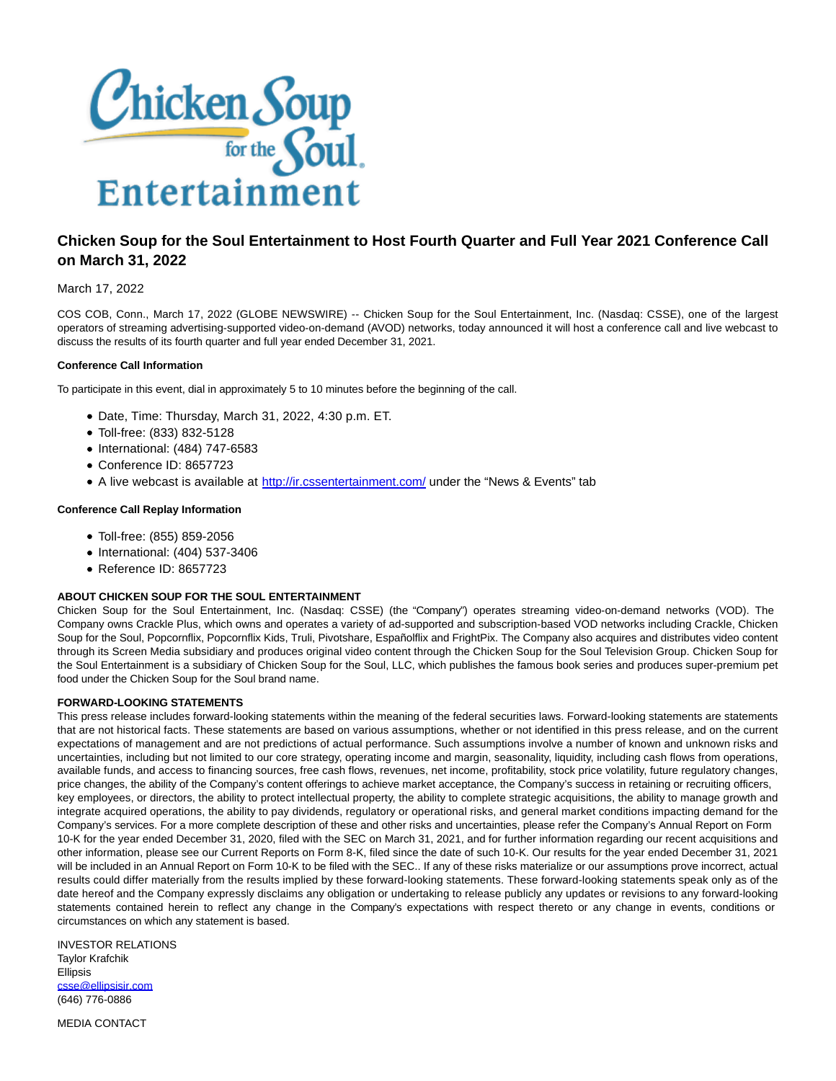

# **Chicken Soup for the Soul Entertainment to Host Fourth Quarter and Full Year 2021 Conference Call on March 31, 2022**

## March 17, 2022

COS COB, Conn., March 17, 2022 (GLOBE NEWSWIRE) -- Chicken Soup for the Soul Entertainment, Inc. (Nasdaq: CSSE), one of the largest operators of streaming advertising-supported video-on-demand (AVOD) networks, today announced it will host a conference call and live webcast to discuss the results of its fourth quarter and full year ended December 31, 2021.

### **Conference Call Information**

To participate in this event, dial in approximately 5 to 10 minutes before the beginning of the call.

- Date, Time: Thursday, March 31, 2022, 4:30 p.m. ET.
- Toll-free: (833) 832-5128
- $\bullet$  International: (484) 747-6583
- Conference ID: 8657723
- A live webcast is available at [http://ir.cssentertainment.com/ u](http://ir.cssentertainment.com/)nder the "News & Events" tab

### **Conference Call Replay Information**

- Toll-free: (855) 859-2056
- $\bullet$  International: (404) 537-3406
- Reference ID: 8657723

### **ABOUT CHICKEN SOUP FOR THE SOUL ENTERTAINMENT**

Chicken Soup for the Soul Entertainment, Inc. (Nasdaq: CSSE) (the "Company") operates streaming video-on-demand networks (VOD). The Company owns Crackle Plus, which owns and operates a variety of ad-supported and subscription-based VOD networks including Crackle, Chicken Soup for the Soul, Popcornflix, Popcornflix Kids, Truli, Pivotshare, Españolflix and FrightPix. The Company also acquires and distributes video content through its Screen Media subsidiary and produces original video content through the Chicken Soup for the Soul Television Group. Chicken Soup for the Soul Entertainment is a subsidiary of Chicken Soup for the Soul, LLC, which publishes the famous book series and produces super-premium pet food under the Chicken Soup for the Soul brand name.

### **FORWARD-LOOKING STATEMENTS**

This press release includes forward-looking statements within the meaning of the federal securities laws. Forward-looking statements are statements that are not historical facts. These statements are based on various assumptions, whether or not identified in this press release, and on the current expectations of management and are not predictions of actual performance. Such assumptions involve a number of known and unknown risks and uncertainties, including but not limited to our core strategy, operating income and margin, seasonality, liquidity, including cash flows from operations, available funds, and access to financing sources, free cash flows, revenues, net income, profitability, stock price volatility, future regulatory changes, price changes, the ability of the Company's content offerings to achieve market acceptance, the Company's success in retaining or recruiting officers, key employees, or directors, the ability to protect intellectual property, the ability to complete strategic acquisitions, the ability to manage growth and integrate acquired operations, the ability to pay dividends, regulatory or operational risks, and general market conditions impacting demand for the Company's services. For a more complete description of these and other risks and uncertainties, please refer the Company's Annual Report on Form 10-K for the year ended December 31, 2020, filed with the SEC on March 31, 2021, and for further information regarding our recent acquisitions and other information, please see our Current Reports on Form 8-K, filed since the date of such 10-K. Our results for the year ended December 31, 2021 will be included in an Annual Report on Form 10-K to be filed with the SEC.. If any of these risks materialize or our assumptions prove incorrect, actual results could differ materially from the results implied by these forward-looking statements. These forward-looking statements speak only as of the date hereof and the Company expressly disclaims any obligation or undertaking to release publicly any updates or revisions to any forward-looking statements contained herein to reflect any change in the Company's expectations with respect thereto or any change in events, conditions or circumstances on which any statement is based.

INVESTOR RELATIONS Taylor Krafchik Ellipsis [csse@ellipsisir.com](https://www.globenewswire.com/Tracker?data=s19TsySYGRW_CjVyAo7M1LISSXv3AMnn3xpZHYCI39aqVAvBko7ORpmGHuS0iKq8EcwRb-WGPqK64inXGpTsHjpTXDHmQy_3gpc-8lc2QHA=) (646) 776-0886

MEDIA CONTACT